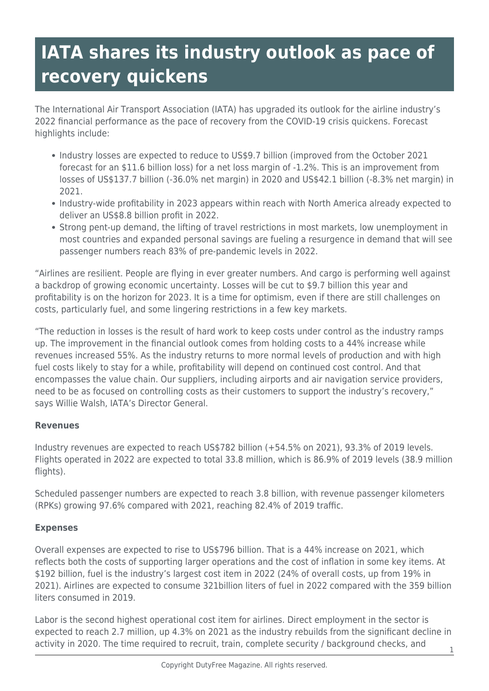# **IATA shares its industry outlook as pace of recovery quickens**

The International Air Transport Association (IATA) has upgraded its outlook for the airline industry's 2022 financial performance as the pace of recovery from the COVID-19 crisis quickens. Forecast highlights include:

- Industry losses are expected to reduce to US\$9.7 billion (improved from the October 2021 forecast for an \$11.6 billion loss) for a net loss margin of -1.2%. This is an improvement from losses of US\$137.7 billion (-36.0% net margin) in 2020 and US\$42.1 billion (-8.3% net margin) in 2021.
- Industry-wide profitability in 2023 appears within reach with North America already expected to deliver an US\$8.8 billion profit in 2022.
- Strong pent-up demand, the lifting of travel restrictions in most markets, low unemployment in most countries and expanded personal savings are fueling a resurgence in demand that will see passenger numbers reach 83% of pre-pandemic levels in 2022.

"Airlines are resilient. People are flying in ever greater numbers. And cargo is performing well against a backdrop of growing economic uncertainty. Losses will be cut to \$9.7 billion this year and profitability is on the horizon for 2023. It is a time for optimism, even if there are still challenges on costs, particularly fuel, and some lingering restrictions in a few key markets.

"The reduction in losses is the result of hard work to keep costs under control as the industry ramps up. The improvement in the financial outlook comes from holding costs to a 44% increase while revenues increased 55%. As the industry returns to more normal levels of production and with high fuel costs likely to stay for a while, profitability will depend on continued cost control. And that encompasses the value chain. Our suppliers, including airports and air navigation service providers, need to be as focused on controlling costs as their customers to support the industry's recovery," says Willie Walsh, IATA's Director General.

## **Revenues**

Industry revenues are expected to reach US\$782 billion (+54.5% on 2021), 93.3% of 2019 levels. Flights operated in 2022 are expected to total 33.8 million, which is 86.9% of 2019 levels (38.9 million flights).

Scheduled passenger numbers are expected to reach 3.8 billion, with revenue passenger kilometers (RPKs) growing 97.6% compared with 2021, reaching 82.4% of 2019 traffic.

## **Expenses**

Overall expenses are expected to rise to US\$796 billion. That is a 44% increase on 2021, which reflects both the costs of supporting larger operations and the cost of inflation in some key items. At \$192 billion, fuel is the industry's largest cost item in 2022 (24% of overall costs, up from 19% in 2021). Airlines are expected to consume 321billion liters of fuel in 2022 compared with the 359 billion liters consumed in 2019.

Labor is the second highest operational cost item for airlines. Direct employment in the sector is expected to reach 2.7 million, up 4.3% on 2021 as the industry rebuilds from the significant decline in activity in 2020. The time required to recruit, train, complete security / background checks, and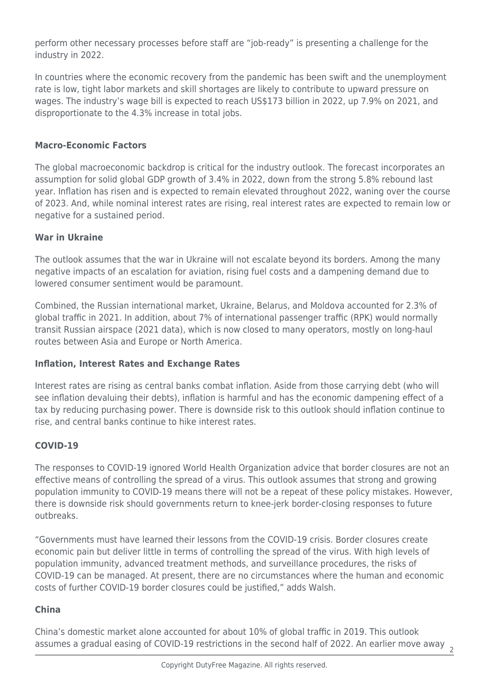perform other necessary processes before staff are "job-ready" is presenting a challenge for the industry in 2022.

In countries where the economic recovery from the pandemic has been swift and the unemployment rate is low, tight labor markets and skill shortages are likely to contribute to upward pressure on wages. The industry's wage bill is expected to reach US\$173 billion in 2022, up 7.9% on 2021, and disproportionate to the 4.3% increase in total jobs.

## **Macro-Economic Factors**

The global macroeconomic backdrop is critical for the industry outlook. The forecast incorporates an assumption for solid global GDP growth of 3.4% in 2022, down from the strong 5.8% rebound last year. Inflation has risen and is expected to remain elevated throughout 2022, waning over the course of 2023. And, while nominal interest rates are rising, real interest rates are expected to remain low or negative for a sustained period.

#### **War in Ukraine**

The outlook assumes that the war in Ukraine will not escalate beyond its borders. Among the many negative impacts of an escalation for aviation, rising fuel costs and a dampening demand due to lowered consumer sentiment would be paramount.

Combined, the Russian international market, Ukraine, Belarus, and Moldova accounted for 2.3% of global traffic in 2021. In addition, about 7% of international passenger traffic (RPK) would normally transit Russian airspace (2021 data), which is now closed to many operators, mostly on long-haul routes between Asia and Europe or North America.

## **Inflation, Interest Rates and Exchange Rates**

Interest rates are rising as central banks combat inflation. Aside from those carrying debt (who will see inflation devaluing their debts), inflation is harmful and has the economic dampening effect of a tax by reducing purchasing power. There is downside risk to this outlook should inflation continue to rise, and central banks continue to hike interest rates.

## **COVID-19**

The responses to COVID-19 ignored World Health Organization advice that border closures are not an effective means of controlling the spread of a virus. This outlook assumes that strong and growing population immunity to COVID-19 means there will not be a repeat of these policy mistakes. However, there is downside risk should governments return to knee-jerk border-closing responses to future outbreaks.

"Governments must have learned their lessons from the COVID-19 crisis. Border closures create economic pain but deliver little in terms of controlling the spread of the virus. With high levels of population immunity, advanced treatment methods, and surveillance procedures, the risks of COVID-19 can be managed. At present, there are no circumstances where the human and economic costs of further COVID-19 border closures could be justified," adds Walsh.

## **China**

China's domestic market alone accounted for about 10% of global traffic in 2019. This outlook assumes a gradual easing of COVID-19 restrictions in the second half of 2022. An earlier move away